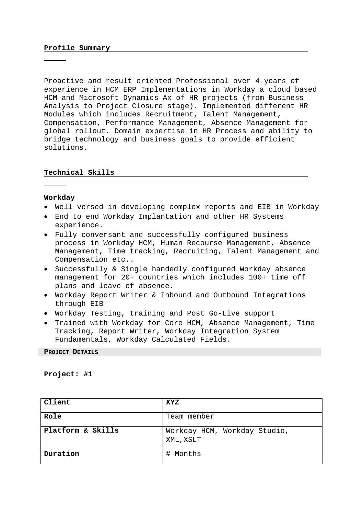# **Profile Summary**

Proactive and result oriented Professional over 4 years of experience in HCM ERP Implementations in Workday a cloud based HCM and Microsoft Dynamics Ax of HR projects (from Business Analysis to Project Closure stage). Implemented different HR Modules which includes Recruitment, Talent Management, Compensation, Performance Management, Absence Management for global rollout. Domain expertise in HR Process and ability to bridge technology and business goals to provide efficient solutions.

#### **Technical Skills**

#### **Workday**

- Well versed in developing complex reports and EIB in Workday
- End to end Workday Implantation and other HR Systems experience.
- Fully conversant and successfully configured business process in Workday HCM, Human Recourse Management, Absence Management, Time tracking, Recruiting, Talent Management and Compensation etc..
- Successfully & Single handedly configured Workday absence management for 20+ countries which includes 100+ time off plans and leave of absence.
- Workday Report Writer & Inbound and Outbound Integrations through EIB
- Workday Testing, training and Post Go-Live support
- Trained with Workday for Core HCM, Absence Management, Time Tracking, Report Writer, Workday Integration System Fundamentals, Workday Calculated Fields.

**PROJECT DETAILS**

**Project: #1** 

| Client                       | <b>XYZ</b>                                |
|------------------------------|-------------------------------------------|
| Role                         | Team member                               |
| <b>Platform &amp; Skills</b> | Workday HCM, Workday Studio,<br>XML, XSLT |
| Duration                     | # Months                                  |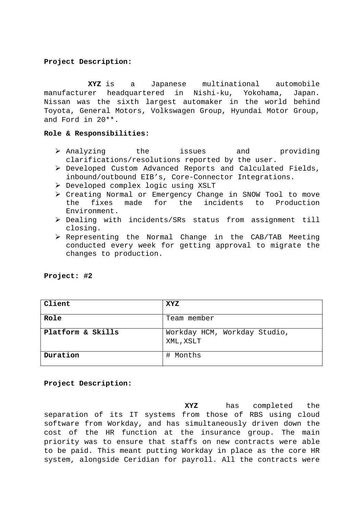# **Project Description:**

 **XYZ** is a Japanese multinational automobile manufacturer headquartered in Nishi-ku, Yokohama, Japan. Nissan was the sixth largest automaker in the world behind Toyota, General Motors, Volkswagen Group, Hyundai Motor Group, and Ford in 20\*\*.

# **Role & Responsibilities:**

- $\triangleright$  Analyzing the issues and providing clarifications/resolutions reported by the user.
- Developed Custom Advanced Reports and Calculated Fields, inbound/outbound EIB's, Core-Connector Integrations.
- Developed complex logic using XSLT
- Creating Normal or Emergency Change in SNOW Tool to move the fixes made for the incidents to Production Environment.
- Dealing with incidents/SRs status from assignment till closing.
- Representing the Normal Change in the CAB/TAB Meeting conducted every week for getting approval to migrate the changes to production.

| Project: |  | #2 |
|----------|--|----|
|----------|--|----|

| Client                       | <b>XYZ</b>                                |
|------------------------------|-------------------------------------------|
| Role                         | Team member                               |
| <b>Platform &amp; Skills</b> | Workday HCM, Workday Studio,<br>XML, XSLT |
| Duration                     | # Months                                  |

# **Project Description:**

 **XYZ** has completed the separation of its IT systems from those of RBS using cloud software from Workday, and has simultaneously driven down the cost of the HR function at the insurance group. The main priority was to ensure that staffs on new contracts were able to be paid. This meant putting Workday in place as the core HR system, alongside Ceridian for payroll. All the contracts were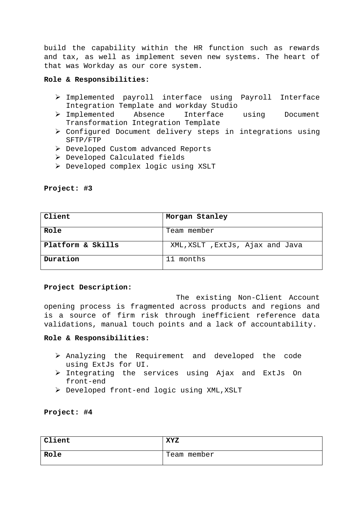build the capability within the HR function such as rewards and tax, as well as implement seven new systems. The heart of that was Workday as our core system.

# **Role & Responsibilities:**

- Implemented payroll interface using Payroll Interface Integration Template and workday Studio
- Implemented Absence Interface using Document Transformation Integration Template
- Configured Document delivery steps in integrations using SFTP/FTP
- $\triangleright$  Developed Custom advanced Reports
- Developed Calculated fields
- Developed complex logic using XSLT

**Project: #3** 

| Client                       | Morgan Stanley                  |
|------------------------------|---------------------------------|
| Role                         | Team member                     |
| <b>Platform &amp; Skills</b> | XML, XSLT, ExtJs, Ajax and Java |
| Duration                     | 11 months                       |

# **Project Description:**

The existing Non-Client Account opening process is fragmented across products and regions and is a source of firm risk through inefficient reference data validations, manual touch points and a lack of accountability.

### **Role & Responsibilities:**

- $\triangleright$  Analyzing the Requirement and developed the code using ExtJs for UI.
- $\triangleright$  Integrating the services using Ajax and ExtJs On front-end
- $\triangleright$  Developed front-end logic using XML, XSLT

**Project: #4** 

| Client | <b>XYZ</b>  |
|--------|-------------|
| Role   | Team member |